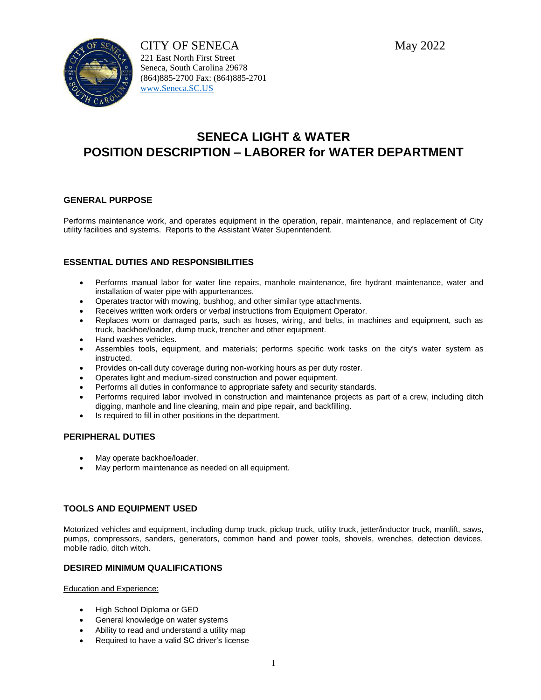# **SENECA LIGHT & WATER POSITION DESCRIPTION – LABORER for WATER DEPARTMENT**

# **GENERAL PURPOSE**

Performs maintenance work, and operates equipment in the operation, repair, maintenance, and replacement of City utility facilities and systems. Reports to the Assistant Water Superintendent.

# **ESSENTIAL DUTIES AND RESPONSIBILITIES**

- Performs manual labor for water line repairs, manhole maintenance, fire hydrant maintenance, water and installation of water pipe with appurtenances.
- Operates tractor with mowing, bushhog, and other similar type attachments.
- Receives written work orders or verbal instructions from Equipment Operator.
- Replaces worn or damaged parts, such as hoses, wiring, and belts, in machines and equipment, such as truck, backhoe/loader, dump truck, trencher and other equipment.
- Hand washes vehicles.
- Assembles tools, equipment, and materials; performs specific work tasks on the city's water system as instructed.
- Provides on-call duty coverage during non-working hours as per duty roster.
- Operates light and medium-sized construction and power equipment.
- Performs all duties in conformance to appropriate safety and security standards.
- Performs required labor involved in construction and maintenance projects as part of a crew, including ditch digging, manhole and line cleaning, main and pipe repair, and backfilling.
- Is required to fill in other positions in the department.

#### **PERIPHERAL DUTIES**

- May operate backhoe/loader.
- May perform maintenance as needed on all equipment.

# **TOOLS AND EQUIPMENT USED**

Motorized vehicles and equipment, including dump truck, pickup truck, utility truck, jetter/inductor truck, manlift, saws, pumps, compressors, sanders, generators, common hand and power tools, shovels, wrenches, detection devices, mobile radio, ditch witch.

#### **DESIRED MINIMUM QUALIFICATIONS**

Education and Experience:

- High School Diploma or GED
- General knowledge on water systems
- Ability to read and understand a utility map
- Required to have a valid SC driver's license